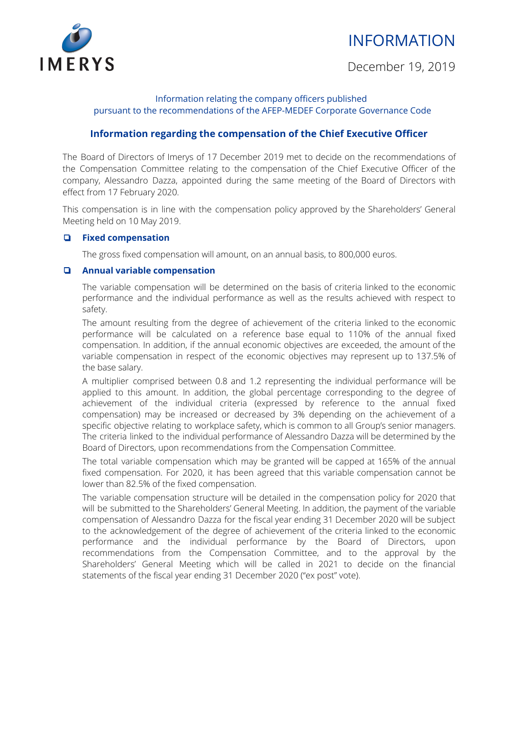# INFORMATION



December 19, 2019

### Information relating the company officers published pursuant to the recommendations of the AFEP-MEDEF Corporate Governance Code

## **Information regarding the compensation of the Chief Executive Officer**

The Board of Directors of Imerys of 17 December 2019 met to decide on the recommendations of the Compensation Committee relating to the compensation of the Chief Executive Officer of the company, Alessandro Dazza, appointed during the same meeting of the Board of Directors with effect from 17 February 2020.

This compensation is in line with the compensation policy approved by the Shareholders' General Meeting held on 10 May 2019.

#### ❏ **Fixed compensation**

The gross fixed compensation will amount, on an annual basis, to 800,000 euros.

#### ❏ **Annual variable compensation**

The variable compensation will be determined on the basis of criteria linked to the economic performance and the individual performance as well as the results achieved with respect to safety.

The amount resulting from the degree of achievement of the criteria linked to the economic performance will be calculated on a reference base equal to 110% of the annual fixed compensation. In addition, if the annual economic objectives are exceeded, the amount of the variable compensation in respect of the economic objectives may represent up to 137.5% of the base salary.

A multiplier comprised between 0.8 and 1.2 representing the individual performance will be applied to this amount. In addition, the global percentage corresponding to the degree of achievement of the individual criteria (expressed by reference to the annual fixed compensation) may be increased or decreased by 3% depending on the achievement of a specific objective relating to workplace safety, which is common to all Group's senior managers. The criteria linked to the individual performance of Alessandro Dazza will be determined by the Board of Directors, upon recommendations from the Compensation Committee.

The total variable compensation which may be granted will be capped at 165% of the annual fixed compensation. For 2020, it has been agreed that this variable compensation cannot be lower than 82.5% of the fixed compensation.

The variable compensation structure will be detailed in the compensation policy for 2020 that will be submitted to the Shareholders' General Meeting. In addition, the payment of the variable compensation of Alessandro Dazza for the fiscal year ending 31 December 2020 will be subject to the acknowledgement of the degree of achievement of the criteria linked to the economic performance and the individual performance by the Board of Directors, upon recommendations from the Compensation Committee, and to the approval by the Shareholders' General Meeting which will be called in 2021 to decide on the financial statements of the fiscal year ending 31 December 2020 ("ex post" vote).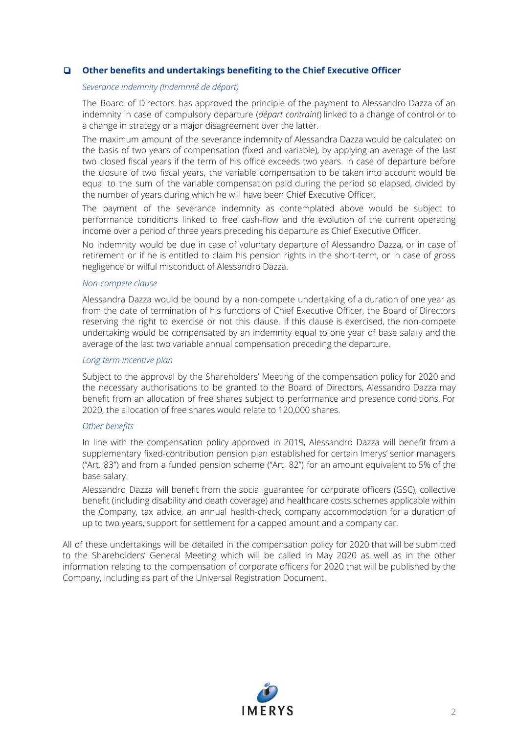#### ❏ **Other benefits and undertakings benefiting to the Chief Executive Officer**

#### *Severance indemnity (Indemnité de départ)*

The Board of Directors has approved the principle of the payment to Alessandro Dazza of an indemnity in case of compulsory departure (*départ contraint*) linked to a change of control or to a change in strategy or a major disagreement over the latter.

The maximum amount of the severance indemnity of Alessandra Dazza would be calculated on the basis of two years of compensation (fixed and variable), by applying an average of the last two closed fiscal years if the term of his office exceeds two years. In case of departure before the closure of two fiscal years, the variable compensation to be taken into account would be equal to the sum of the variable compensation paid during the period so elapsed, divided by the number of years during which he will have been Chief Executive Officer.

The payment of the severance indemnity as contemplated above would be subject to performance conditions linked to free cash-flow and the evolution of the current operating income over a period of three years preceding his departure as Chief Executive Officer.

No indemnity would be due in case of voluntary departure of Alessandro Dazza, or in case of retirement or if he is entitled to claim his pension rights in the short-term, or in case of gross negligence or wilful misconduct of Alessandro Dazza.

#### *Non-compete clause*

Alessandra Dazza would be bound by a non-compete undertaking of a duration of one year as from the date of termination of his functions of Chief Executive Officer, the Board of Directors reserving the right to exercise or not this clause. If this clause is exercised, the non-compete undertaking would be compensated by an indemnity equal to one year of base salary and the average of the last two variable annual compensation preceding the departure.

#### *Long term incentive plan*

Subject to the approval by the Shareholders' Meeting of the compensation policy for 2020 and the necessary authorisations to be granted to the Board of Directors, Alessandro Dazza may benefit from an allocation of free shares subject to performance and presence conditions. For 2020, the allocation of free shares would relate to 120,000 shares.

#### *Other benefits*

In line with the compensation policy approved in 2019, Alessandro Dazza will benefit from a supplementary fixed-contribution pension plan established for certain Imerys' senior managers ("Art. 83") and from a funded pension scheme ("Art. 82") for an amount equivalent to 5% of the base salary.

Alessandro Dazza will benefit from the social guarantee for corporate officers (GSC), collective benefit (including disability and death coverage) and healthcare costs schemes applicable within the Company, tax advice, an annual health-check, company accommodation for a duration of up to two years, support for settlement for a capped amount and a company car.

All of these undertakings will be detailed in the compensation policy for 2020 that will be submitted to the Shareholders' General Meeting which will be called in May 2020 as well as in the other information relating to the compensation of corporate officers for 2020 that will be published by the Company, including as part of the Universal Registration Document.